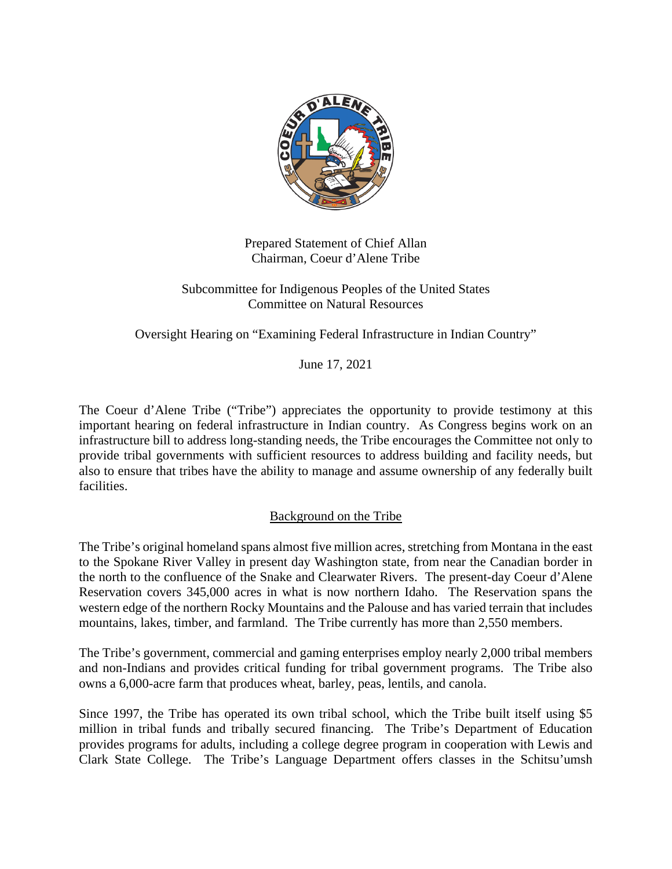

Prepared Statement of Chief Allan Chairman, Coeur d'Alene Tribe

Subcommittee for Indigenous Peoples of the United States Committee on Natural Resources

Oversight Hearing on "Examining Federal Infrastructure in Indian Country"

June 17, 2021

The Coeur d'Alene Tribe ("Tribe") appreciates the opportunity to provide testimony at this important hearing on federal infrastructure in Indian country. As Congress begins work on an infrastructure bill to address long-standing needs, the Tribe encourages the Committee not only to provide tribal governments with sufficient resources to address building and facility needs, but also to ensure that tribes have the ability to manage and assume ownership of any federally built facilities.

## Background on the Tribe

The Tribe's original homeland spans almost five million acres, stretching from Montana in the east to the Spokane River Valley in present day Washington state, from near the Canadian border in the north to the confluence of the Snake and Clearwater Rivers. The present-day Coeur d'Alene Reservation covers 345,000 acres in what is now northern Idaho. The Reservation spans the western edge of the northern Rocky Mountains and the Palouse and has varied terrain that includes mountains, lakes, timber, and farmland. The Tribe currently has more than 2,550 members.

The Tribe's government, commercial and gaming enterprises employ nearly 2,000 tribal members and non-Indians and provides critical funding for tribal government programs. The Tribe also owns a 6,000-acre farm that produces wheat, barley, peas, lentils, and canola.

Since 1997, the Tribe has operated its own tribal school, which the Tribe built itself using \$5 million in tribal funds and tribally secured financing. The Tribe's Department of Education provides programs for adults, including a college degree program in cooperation with Lewis and Clark State College. The Tribe's Language Department offers classes in the Schitsu'umsh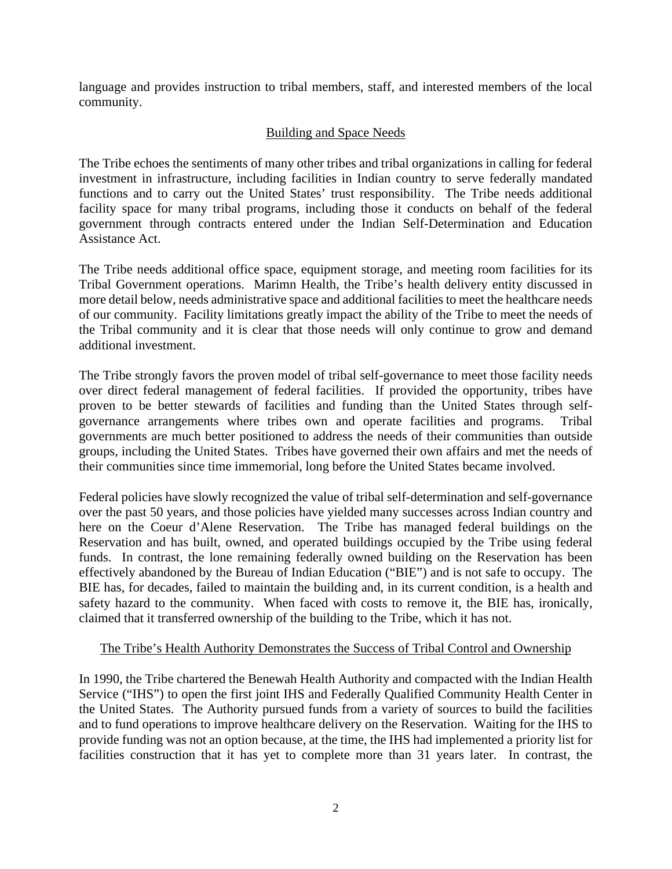language and provides instruction to tribal members, staff, and interested members of the local community.

## Building and Space Needs

The Tribe echoes the sentiments of many other tribes and tribal organizations in calling for federal investment in infrastructure, including facilities in Indian country to serve federally mandated functions and to carry out the United States' trust responsibility. The Tribe needs additional facility space for many tribal programs, including those it conducts on behalf of the federal government through contracts entered under the Indian Self-Determination and Education Assistance Act.

The Tribe needs additional office space, equipment storage, and meeting room facilities for its Tribal Government operations. Marimn Health, the Tribe's health delivery entity discussed in more detail below, needs administrative space and additional facilities to meet the healthcare needs of our community. Facility limitations greatly impact the ability of the Tribe to meet the needs of the Tribal community and it is clear that those needs will only continue to grow and demand additional investment.

The Tribe strongly favors the proven model of tribal self-governance to meet those facility needs over direct federal management of federal facilities. If provided the opportunity, tribes have proven to be better stewards of facilities and funding than the United States through selfgovernance arrangements where tribes own and operate facilities and programs. Tribal governments are much better positioned to address the needs of their communities than outside groups, including the United States. Tribes have governed their own affairs and met the needs of their communities since time immemorial, long before the United States became involved.

Federal policies have slowly recognized the value of tribal self-determination and self-governance over the past 50 years, and those policies have yielded many successes across Indian country and here on the Coeur d'Alene Reservation. The Tribe has managed federal buildings on the Reservation and has built, owned, and operated buildings occupied by the Tribe using federal funds. In contrast, the lone remaining federally owned building on the Reservation has been effectively abandoned by the Bureau of Indian Education ("BIE") and is not safe to occupy. The BIE has, for decades, failed to maintain the building and, in its current condition, is a health and safety hazard to the community. When faced with costs to remove it, the BIE has, ironically, claimed that it transferred ownership of the building to the Tribe, which it has not.

## The Tribe's Health Authority Demonstrates the Success of Tribal Control and Ownership

In 1990, the Tribe chartered the Benewah Health Authority and compacted with the Indian Health Service ("IHS") to open the first joint IHS and Federally Qualified Community Health Center in the United States. The Authority pursued funds from a variety of sources to build the facilities and to fund operations to improve healthcare delivery on the Reservation. Waiting for the IHS to provide funding was not an option because, at the time, the IHS had implemented a priority list for facilities construction that it has yet to complete more than 31 years later. In contrast, the